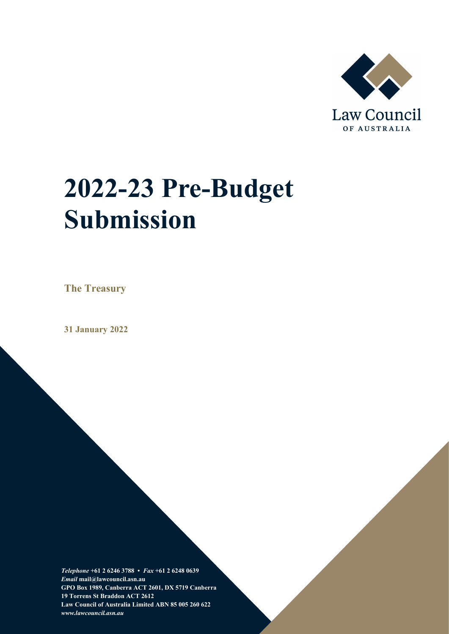

# **2022-23 Pre-Budget Submission**

**The Treasury**

**31 January 2022**

*Telephone* **+61 2 6246 3788 •** *Fax* **+61 2 6248 0639**  *Email* **mail@lawcouncil.asn.au GPO Box 1989, Canberra ACT 2601, DX 5719 Canberra 19 Torrens St Braddon ACT 2612 Law Council of Australia Limited ABN 85 005 260 622** *www.lawcouncil.asn.au*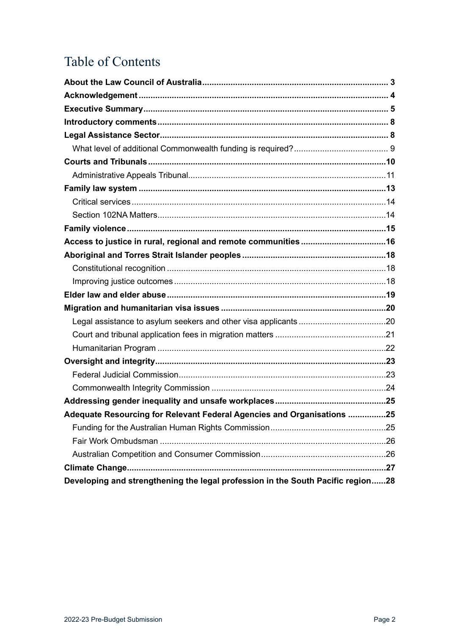# Table of Contents

| Adequate Resourcing for Relevant Federal Agencies and Organisations 25          |  |
|---------------------------------------------------------------------------------|--|
|                                                                                 |  |
|                                                                                 |  |
|                                                                                 |  |
|                                                                                 |  |
| Developing and strengthening the legal profession in the South Pacific region28 |  |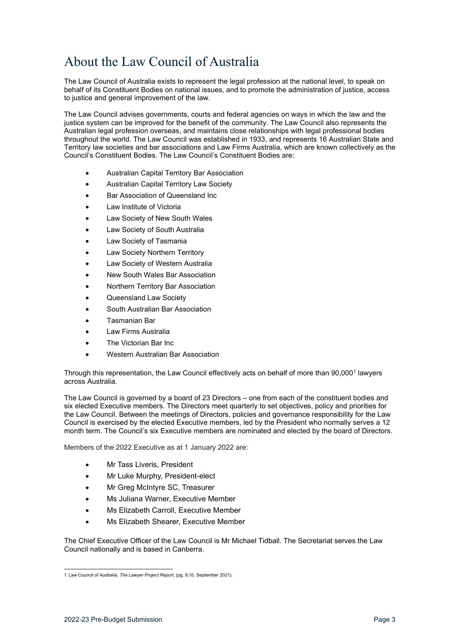# <span id="page-2-0"></span>About the Law Council of Australia

The Law Council of Australia exists to represent the legal profession at the national level, to speak on behalf of its Constituent Bodies on national issues, and to promote the administration of justice, access to justice and general improvement of the law.

The Law Council advises governments, courts and federal agencies on ways in which the law and the justice system can be improved for the benefit of the community. The Law Council also represents the Australian legal profession overseas, and maintains close relationships with legal professional bodies throughout the world. The Law Council was established in 1933, and represents 16 Australian State and Territory law societies and bar associations and Law Firms Australia, which are known collectively as the Council's Constituent Bodies. The Law Council's Constituent Bodies are:

- Australian Capital Territory Bar Association
- Australian Capital Territory Law Society
- Bar Association of Queensland Inc
- Law Institute of Victoria
- Law Society of New South Wales
- Law Society of South Australia
- Law Society of Tasmania
- Law Society Northern Territory
- Law Society of Western Australia
- New South Wales Bar Association
- Northern Territory Bar Association
- Queensland Law Society
- South Australian Bar Association
- Tasmanian Bar
- Law Firms Australia
- The Victorian Bar Inc.
- Western Australian Bar Association

Through this representation, the Law Council effectively acts on behalf of more than 90,000<sup>[1](#page-2-1)</sup> lawyers across Australia.

The Law Council is governed by a board of 23 Directors – one from each of the constituent bodies and six elected Executive members. The Directors meet quarterly to set objectives, policy and priorities for the Law Council. Between the meetings of Directors, policies and governance responsibility for the Law Council is exercised by the elected Executive members, led by the President who normally serves a 12 month term. The Council's six Executive members are nominated and elected by the board of Directors.

Members of the 2022 Executive as at 1 January 2022 are:

- Mr Tass Liveris, President
- Mr Luke Murphy, President-elect
- Mr Greg McIntyre SC, Treasurer
- Ms Juliana Warner, Executive Member
- Ms Elizabeth Carroll, Executive Member
- Ms Elizabeth Shearer, Executive Member

The Chief Executive Officer of the Law Council is Mr Michael Tidball. The Secretariat serves the Law Council nationally and is based in Canberra.

<span id="page-2-1"></span><sup>1</sup> Law Council of Australia, *The Lawyer Project Report*, (pg. 9,10, September 2021).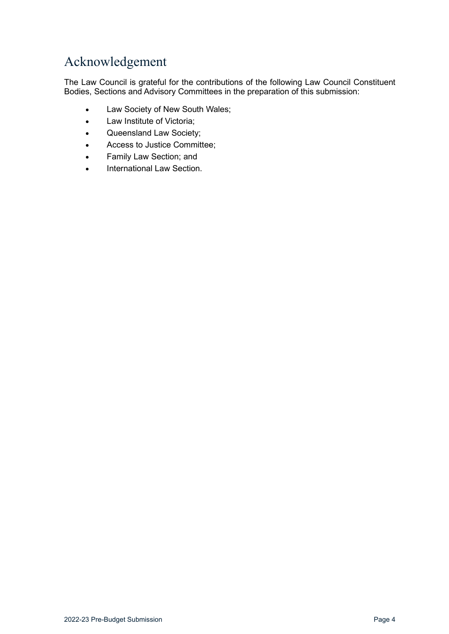# <span id="page-3-0"></span>Acknowledgement

The Law Council is grateful for the contributions of the following Law Council Constituent Bodies, Sections and Advisory Committees in the preparation of this submission:

- Law Society of New South Wales;
- Law Institute of Victoria;
- Queensland Law Society;
- Access to Justice Committee;
- Family Law Section; and
- International Law Section.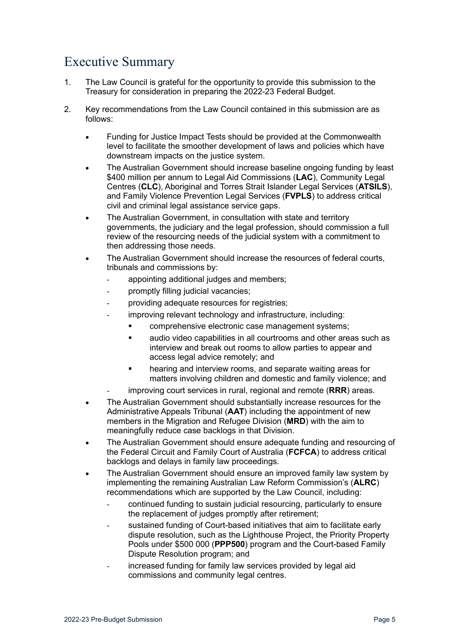# <span id="page-4-0"></span>Executive Summary

- 1. The Law Council is grateful for the opportunity to provide this submission to the Treasury for consideration in preparing the 2022-23 Federal Budget.
- 2. Key recommendations from the Law Council contained in this submission are as follows:
	- Funding for Justice Impact Tests should be provided at the Commonwealth level to facilitate the smoother development of laws and policies which have downstream impacts on the justice system.
	- The Australian Government should increase baseline ongoing funding by least \$400 million per annum to Legal Aid Commissions (**LAC**), Community Legal Centres (**CLC**), Aboriginal and Torres Strait Islander Legal Services (**ATSILS**), and Family Violence Prevention Legal Services (**FVPLS**) to address critical civil and criminal legal assistance service gaps.
	- The Australian Government, in consultation with state and territory governments, the judiciary and the legal profession, should commission a full review of the resourcing needs of the judicial system with a commitment to then addressing those needs.
	- The Australian Government should increase the resources of federal courts, tribunals and commissions by:
		- appointing additional judges and members;
		- promptly filling judicial vacancies;
		- providing adequate resources for registries;
			- improving relevant technology and infrastructure, including:
				- **EXECOMPTER COMPTER EXECTS**: comprehensive electronic case management systems;
				- **EXECT** audio video capabilities in all courtrooms and other areas such as interview and break out rooms to allow parties to appear and access legal advice remotely; and
				- **•** hearing and interview rooms, and separate waiting areas for matters involving children and domestic and family violence; and
		- improving court services in rural, regional and remote (**RRR**) areas.
	- The Australian Government should substantially increase resources for the Administrative Appeals Tribunal (**AAT**) including the appointment of new members in the Migration and Refugee Division (**MRD**) with the aim to meaningfully reduce case backlogs in that Division.
	- The Australian Government should ensure adequate funding and resourcing of the Federal Circuit and Family Court of Australia (**FCFCA**) to address critical backlogs and delays in family law proceedings.
	- The Australian Government should ensure an improved family law system by implementing the remaining Australian Law Reform Commission's (**ALRC**) recommendations which are supported by the Law Council, including:
		- continued funding to sustain judicial resourcing, particularly to ensure the replacement of judges promptly after retirement;
		- sustained funding of Court-based initiatives that aim to facilitate early dispute resolution, such as the Lighthouse Project, the Priority Property Pools under \$500 000 (**PPP500**) program and the Court-based Family Dispute Resolution program; and
		- increased funding for family law services provided by legal aid commissions and community legal centres.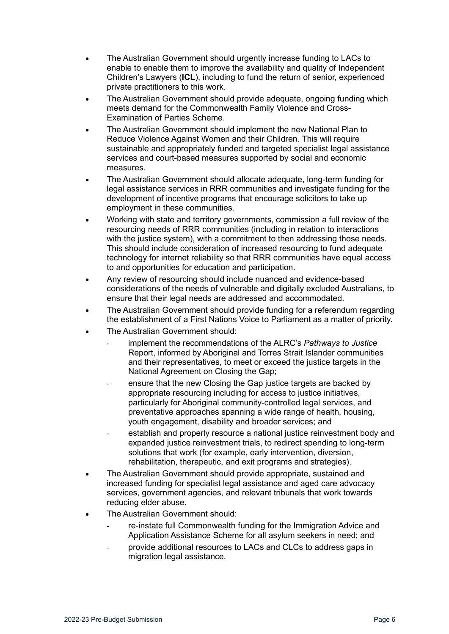- The Australian Government should urgently increase funding to LACs to enable to enable them to improve the availability and quality of Independent Children's Lawyers (**ICL**), including to fund the return of senior, experienced private practitioners to this work.
- The Australian Government should provide adequate, ongoing funding which meets demand for the Commonwealth Family Violence and Cross-Examination of Parties Scheme.
- The Australian Government should implement the new National Plan to Reduce Violence Against Women and their Children. This will require sustainable and appropriately funded and targeted specialist legal assistance services and court-based measures supported by social and economic measures.
- The Australian Government should allocate adequate, long-term funding for legal assistance services in RRR communities and investigate funding for the development of incentive programs that encourage solicitors to take up employment in these communities.
- Working with state and territory governments, commission a full review of the resourcing needs of RRR communities (including in relation to interactions with the justice system), with a commitment to then addressing those needs. This should include consideration of increased resourcing to fund adequate technology for internet reliability so that RRR communities have equal access to and opportunities for education and participation.
- Any review of resourcing should include nuanced and evidence-based considerations of the needs of vulnerable and digitally excluded Australians, to ensure that their legal needs are addressed and accommodated.
- The Australian Government should provide funding for a referendum regarding the establishment of a First Nations Voice to Parliament as a matter of priority.
- The Australian Government should:
	- implement the recommendations of the ALRC's *Pathways to Justice* Report, informed by Aboriginal and Torres Strait Islander communities and their representatives, to meet or exceed the justice targets in the National Agreement on Closing the Gap;
	- ensure that the new Closing the Gap justice targets are backed by appropriate resourcing including for access to justice initiatives, particularly for Aboriginal community-controlled legal services, and preventative approaches spanning a wide range of health, housing, youth engagement, disability and broader services; and
	- establish and properly resource a national justice reinvestment body and expanded justice reinvestment trials, to redirect spending to long-term solutions that work (for example, early intervention, diversion, rehabilitation, therapeutic, and exit programs and strategies).
- The Australian Government should provide appropriate, sustained and increased funding for specialist legal assistance and aged care advocacy services, government agencies, and relevant tribunals that work towards reducing elder abuse.
- The Australian Government should:
	- re-instate full Commonwealth funding for the Immigration Advice and Application Assistance Scheme for all asylum seekers in need; and
	- provide additional resources to LACs and CLCs to address gaps in migration legal assistance.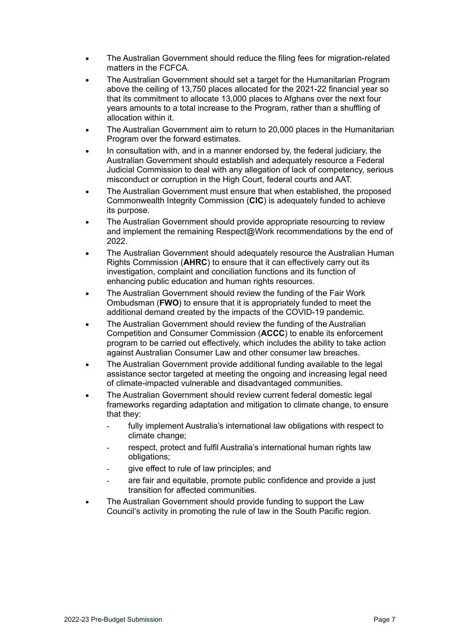- The Australian Government should reduce the filing fees for migration-related matters in the FCFCA.
- The Australian Government should set a target for the Humanitarian Program above the ceiling of 13,750 places allocated for the 2021-22 financial year so that its commitment to allocate 13,000 places to Afghans over the next four years amounts to a total increase to the Program, rather than a shuffling of allocation within it.
- The Australian Government aim to return to 20,000 places in the Humanitarian Program over the forward estimates.
- In consultation with, and in a manner endorsed by, the federal judiciary, the Australian Government should establish and adequately resource a Federal Judicial Commission to deal with any allegation of lack of competency, serious misconduct or corruption in the High Court, federal courts and AAT.
- The Australian Government must ensure that when established, the proposed Commonwealth Integrity Commission (**CIC**) is adequately funded to achieve its purpose.
- The Australian Government should provide appropriate resourcing to review and implement the remaining Respect@Work recommendations by the end of 2022.
- The Australian Government should adequately resource the Australian Human Rights Commission (**AHRC**) to ensure that it can effectively carry out its investigation, complaint and conciliation functions and its function of enhancing public education and human rights resources.
- The Australian Government should review the funding of the Fair Work Ombudsman (**FWO**) to ensure that it is appropriately funded to meet the additional demand created by the impacts of the COVID-19 pandemic.
- The Australian Government should review the funding of the Australian Competition and Consumer Commission (**ACCC**) to enable its enforcement program to be carried out effectively, which includes the ability to take action against Australian Consumer Law and other consumer law breaches.
- The Australian Government provide additional funding available to the legal assistance sector targeted at meeting the ongoing and increasing legal need of climate-impacted vulnerable and disadvantaged communities.
- The Australian Government should review current federal domestic legal frameworks regarding adaptation and mitigation to climate change, to ensure that they:
	- fully implement Australia's international law obligations with respect to climate change;
	- respect, protect and fulfil Australia's international human rights law obligations;
	- qive effect to rule of law principles; and
	- are fair and equitable, promote public confidence and provide a just transition for affected communities.
- The Australian Government should provide funding to support the Law Council's activity in promoting the rule of law in the South Pacific region.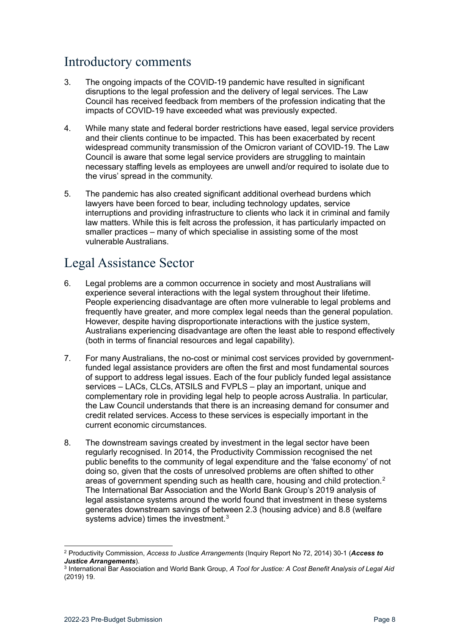# <span id="page-7-0"></span>Introductory comments

- 3. The ongoing impacts of the COVID-19 pandemic have resulted in significant disruptions to the legal profession and the delivery of legal services. The Law Council has received feedback from members of the profession indicating that the impacts of COVID-19 have exceeded what was previously expected.
- 4. While many state and federal border restrictions have eased, legal service providers and their clients continue to be impacted. This has been exacerbated by recent widespread community transmission of the Omicron variant of COVID-19. The Law Council is aware that some legal service providers are struggling to maintain necessary staffing levels as employees are unwell and/or required to isolate due to the virus' spread in the community.
- 5. The pandemic has also created significant additional overhead burdens which lawyers have been forced to bear, including technology updates, service interruptions and providing infrastructure to clients who lack it in criminal and family law matters. While this is felt across the profession, it has particularly impacted on smaller practices – many of which specialise in assisting some of the most vulnerable Australians.

# <span id="page-7-1"></span>Legal Assistance Sector

- 6. Legal problems are a common occurrence in society and most Australians will experience several interactions with the legal system throughout their lifetime. People experiencing disadvantage are often more vulnerable to legal problems and frequently have greater, and more complex legal needs than the general population. However, despite having disproportionate interactions with the justice system, Australians experiencing disadvantage are often the least able to respond effectively (both in terms of financial resources and legal capability).
- <span id="page-7-4"></span>7. For many Australians, the no-cost or minimal cost services provided by governmentfunded legal assistance providers are often the first and most fundamental sources of support to address legal issues. Each of the four publicly funded legal assistance services – LACs, CLCs, ATSILS and FVPLS – play an important, unique and complementary role in providing legal help to people across Australia. In particular, the Law Council understands that there is an increasing demand for consumer and credit related services. Access to these services is especially important in the current economic circumstances.
- 8. The downstream savings created by investment in the legal sector have been regularly recognised. In 2014, the Productivity Commission recognised the net public benefits to the community of legal expenditure and the 'false economy' of not doing so, given that the costs of unresolved problems are often shifted to other areas of government spending such as health care, housing and child protection.<sup>[2](#page-7-2)</sup> The International Bar Association and the World Bank Group's 2019 analysis of legal assistance systems around the world found that investment in these systems generates downstream savings of between 2.3 (housing advice) and 8.8 (welfare systems advice) times the investment.<sup>[3](#page-7-3)</sup>

<span id="page-7-2"></span><sup>2</sup> Productivity Commission, *Access to Justice Arrangements* (Inquiry Report No 72, 2014) 30-1 (*Access to Justice Arrangements*).

<span id="page-7-3"></span><sup>3</sup> International Bar Association and World Bank Group, *A Tool for Justice: A Cost Benefit Analysis of Legal Aid*  (2019) 19.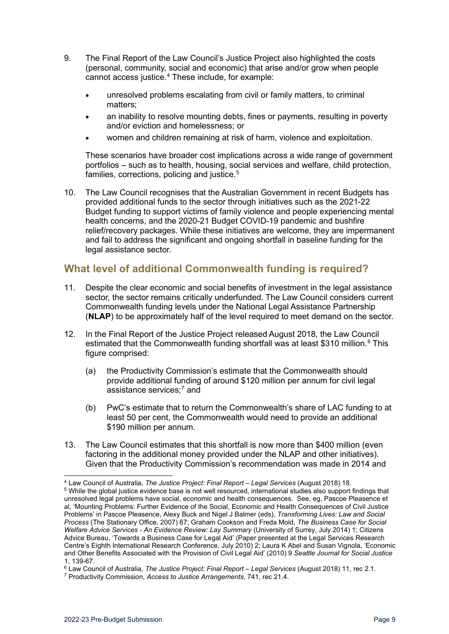- 9. The Final Report of the Law Council's Justice Project also highlighted the costs (personal, community, social and economic) that arise and/or grow when people cannot access justice.<sup>[4](#page-8-1)</sup> These include, for example:
	- unresolved problems escalating from civil or family matters, to criminal matters;
	- an inability to resolve mounting debts, fines or payments, resulting in poverty and/or eviction and homelessness; or
	- women and children remaining at risk of harm, violence and exploitation.

These scenarios have broader cost implications across a wide range of government portfolios – such as to health, housing, social services and welfare, child protection, families, corrections, policing and justice.<sup>[5](#page-8-2)</sup>

10. The Law Council recognises that the Australian Government in recent Budgets has provided additional funds to the sector through initiatives such as the 2021-22 Budget funding to support victims of family violence and people experiencing mental health concerns, and the 2020-21 Budget COVID-19 pandemic and bushfire relief/recovery packages. While these initiatives are welcome, they are impermanent and fail to address the significant and ongoing shortfall in baseline funding for the legal assistance sector.

### <span id="page-8-0"></span>**What level of additional Commonwealth funding is required?**

- 11. Despite the clear economic and social benefits of investment in the legal assistance sector, the sector remains critically underfunded. The Law Council considers current Commonwealth funding levels under the National Legal Assistance Partnership (**NLAP**) to be approximately half of the level required to meet demand on the sector.
- 12. In the Final Report of the Justice Project released August 2018, the Law Council estimated that the Commonwealth funding shortfall was at least \$310 million.<sup>[6](#page-8-3)</sup> This figure comprised:
	- (a) the Productivity Commission's estimate that the Commonwealth should provide additional funding of around \$120 million per annum for civil legal assistance services;<sup>[7](#page-8-4)</sup> and
	- (b) PwC's estimate that to return the Commonwealth's share of LAC funding to at least 50 per cent, the Commonwealth would need to provide an additional \$190 million per annum.
- 13. The Law Council estimates that this shortfall is now more than \$400 million (even factoring in the additional money provided under the NLAP and other initiatives). Given that the Productivity Commission's recommendation was made in 2014 and

<span id="page-8-1"></span><sup>4</sup> Law Council of Australia, *The Justice Project: Final Report – Legal Services* (August 2018) 18. 5 While the global justice evidence base is not well resourced, international studies also support findings that

<span id="page-8-2"></span>unresolved legal problems have social, economic and health consequences. See, eg, Pascoe Pleasence et al, 'Mounting Problems: Further Evidence of the Social, Economic and Health Consequences of Civil Justice Problems' in Pascoe Pleasence, Alexy Buck and Nigel J Balmer (eds), *Transforming Lives: Law and Social Process* (The Stationary Office, 2007) 67; Graham Cookson and Freda Mold, *The Business Case for Social Welfare Advice Services - An Evidence Review: Lay Summary* (University of Surrey, July 2014) 1; Citizens Advice Bureau, 'Towards a Business Case for Legal Aid' (Paper presented at the Legal Services Research Centre's Eighth International Research Conference, July 2010) 2; Laura K Abel and Susan Vignola, 'Economic and Other Benefits Associated with the Provision of Civil Legal Aid' (2010) 9 *Seattle Journal for Social Justice*  1, 139-67.

<span id="page-8-3"></span><sup>&</sup>lt;sup>6</sup> Law Council of Australia, *The Justice Project: Final Report – Legal Services* (August 2018) 11, rec 2.1.<br><sup>7</sup> Productivity Commission, *Access to Justice Arrangements*, 741, rec 21.4.

<span id="page-8-4"></span>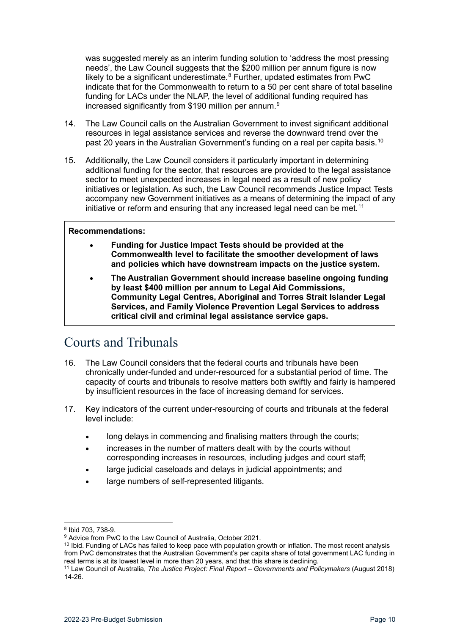was suggested merely as an interim funding solution to 'address the most pressing needs', the Law Council suggests that the \$200 million per annum figure is now likely to be a significant underestimate. $8$  Further, updated estimates from PwC indicate that for the Commonwealth to return to a 50 per cent share of total baseline funding for LACs under the NLAP, the level of additional funding required has increased significantly from \$1[9](#page-9-2)0 million per annum.<sup>9</sup>

- 14. The Law Council calls on the Australian Government to invest significant additional resources in legal assistance services and reverse the downward trend over the past 20 years in the Australian Government's funding on a real per capita basis.<sup>[10](#page-9-3)</sup>
- 15. Additionally, the Law Council considers it particularly important in determining additional funding for the sector, that resources are provided to the legal assistance sector to meet unexpected increases in legal need as a result of new policy initiatives or legislation. As such, the Law Council recommends Justice Impact Tests accompany new Government initiatives as a means of determining the impact of any initiative or reform and ensuring that any increased legal need can be met.<sup>[11](#page-9-4)</sup>

#### **Recommendations:**

- **Funding for Justice Impact Tests should be provided at the Commonwealth level to facilitate the smoother development of laws and policies which have downstream impacts on the justice system.**
- **The Australian Government should increase baseline ongoing funding by least \$400 million per annum to Legal Aid Commissions, Community Legal Centres, Aboriginal and Torres Strait Islander Legal Services, and Family Violence Prevention Legal Services to address critical civil and criminal legal assistance service gaps.**

### <span id="page-9-0"></span>Courts and Tribunals

- 16. The Law Council considers that the federal courts and tribunals have been chronically under-funded and under-resourced for a substantial period of time. The capacity of courts and tribunals to resolve matters both swiftly and fairly is hampered by insufficient resources in the face of increasing demand for services.
- 17. Key indicators of the current under-resourcing of courts and tribunals at the federal level include:
	- long delays in commencing and finalising matters through the courts;
	- increases in the number of matters dealt with by the courts without corresponding increases in resources, including judges and court staff;
	- large judicial caseloads and delays in judicial appointments; and
	- large numbers of self-represented litigants.

<span id="page-9-3"></span> $10$  Ibid. Funding of LACs has failed to keep pace with population growth or inflation. The most recent analysis from PwC demonstrates that the Australian Government's per capita share of total government LAC funding in real terms is at its lowest level in more than 20 years, and that this share is declining.

<span id="page-9-2"></span><span id="page-9-1"></span><sup>&</sup>lt;sup>8</sup> Ibid 703, 738-9.<br><sup>9</sup> Advice from PwC to the Law Council of Australia, October 2021.

<span id="page-9-4"></span><sup>11</sup> Law Council of Australia, *The Justice Project: Final Report – Governments and Policymakers* (August 2018) 14-26.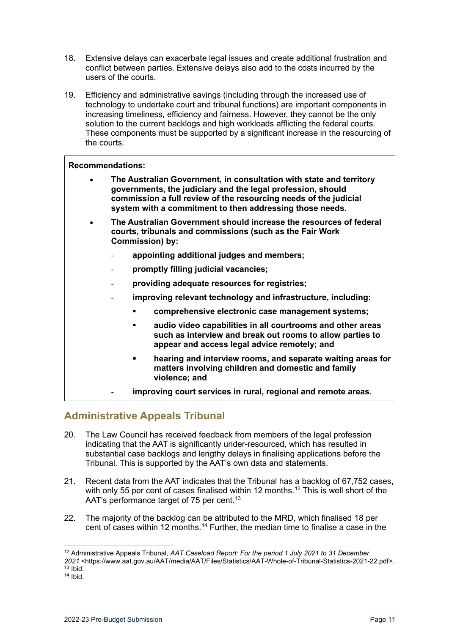- 18. Extensive delays can exacerbate legal issues and create additional frustration and conflict between parties. Extensive delays also add to the costs incurred by the users of the courts.
- 19. Efficiency and administrative savings (including through the increased use of technology to undertake court and tribunal functions) are important components in increasing timeliness, efficiency and fairness. However, they cannot be the only solution to the current backlogs and high workloads afflicting the federal courts. These components must be supported by a significant increase in the resourcing of the courts.

### **Recommendations:**

- **The Australian Government, in consultation with state and territory governments, the judiciary and the legal profession, should commission a full review of the resourcing needs of the judicial system with a commitment to then addressing those needs.**
- **The Australian Government should increase the resources of federal courts, tribunals and commissions (such as the Fair Work Commission) by:**
	- **appointing additional judges and members;**
	- **promptly filling judicial vacancies;**
	- **providing adequate resources for registries;**
	- **improving relevant technology and infrastructure, including:** 
		- **comprehensive electronic case management systems;**
		- **audio video capabilities in all courtrooms and other areas such as interview and break out rooms to allow parties to appear and access legal advice remotely; and**
		- **hearing and interview rooms, and separate waiting areas for matters involving children and domestic and family violence; and**
		- **improving court services in rural, regional and remote areas.**

### <span id="page-10-0"></span>**Administrative Appeals Tribunal**

- 20. The Law Council has received feedback from members of the legal profession indicating that the AAT is significantly under-resourced, which has resulted in substantial case backlogs and lengthy delays in finalising applications before the Tribunal. This is supported by the AAT's own data and statements.
- 21. Recent data from the AAT indicates that the Tribunal has a backlog of 67,752 cases, with only 55 per cent of cases finalised within [12](#page-10-1) months.<sup>12</sup> This is well short of the AAT's performance target of 75 per cent.<sup>[13](#page-10-2)</sup>
- 22. The majority of the backlog can be attributed to the MRD, which finalised 18 per cent of cases within 12 months.[14](#page-10-3) Further, the median time to finalise a case in the

<span id="page-10-1"></span><sup>12</sup> Administrative Appeals Tribunal, *AAT Caseload Report: For the period 1 July 2021 to 31 December 2021* <https://www.aat.gov.au/AAT/media/AAT/Files/Statistics/AAT-Whole-of-Tribunal-Statistics-2021-22.pdf>.  $13$  Ibid.

<span id="page-10-3"></span><span id="page-10-2"></span> $14$  Ibid.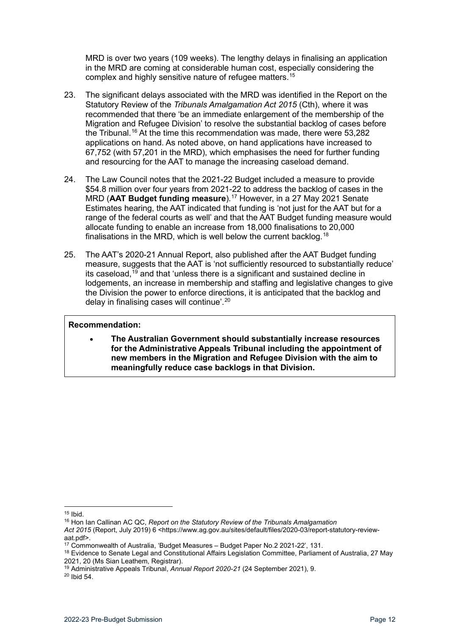MRD is over two years (109 weeks). The lengthy delays in finalising an application in the MRD are coming at considerable human cost, especially considering the complex and highly sensitive nature of refugee matters.[15](#page-11-0)

- 23. The significant delays associated with the MRD was identified in the Report on the Statutory Review of the *Tribunals Amalgamation Act 2015* (Cth), where it was recommended that there 'be an immediate enlargement of the membership of the Migration and Refugee Division' to resolve the substantial backlog of cases before the Tribunal.<sup>[16](#page-11-1)</sup> At the time this recommendation was made, there were  $53,282$ applications on hand. As noted above, on hand applications have increased to 67,752 (with 57,201 in the MRD), which emphasises the need for further funding and resourcing for the AAT to manage the increasing caseload demand.
- 24. The Law Council notes that the 2021-22 Budget included a measure to provide \$54.8 million over four years from 2021-22 to address the backlog of cases in the MRD (**AAT Budget funding measure**).[17](#page-11-2) However, in a 27 May 2021 Senate Estimates hearing, the AAT indicated that funding is 'not just for the AAT but for a range of the federal courts as well' and that the AAT Budget funding measure would allocate funding to enable an increase from 18,000 finalisations to 20,000 finalisations in the MRD, which is well below the current backlog. $^{18}$  $^{18}$  $^{18}$
- 25. The AAT's 2020-21 Annual Report, also published after the AAT Budget funding measure, suggests that the AAT is 'not sufficiently resourced to substantially reduce' its caseload, [19](#page-11-4) and that 'unless there is a significant and sustained decline in lodgements, an increase in membership and staffing and legislative changes to give the Division the power to enforce directions, it is anticipated that the backlog and delay in finalising cases will continue'.<sup>[20](#page-11-5)</sup>

#### **Recommendation:**

• **The Australian Government should substantially increase resources for the Administrative Appeals Tribunal including the appointment of new members in the Migration and Refugee Division with the aim to meaningfully reduce case backlogs in that Division.**

<span id="page-11-1"></span>Act 2015 (Report, July 2019) 6 <https://www.ag.gov.au/sites/default/files/2020-03/report-statutory-reviewaat.pdf>.<br><sup>17</sup> Commonwealth of Australia, 'Budget Measures – Budget Paper No.2 2021-22', 131.

<span id="page-11-0"></span> $15$  Ibid.

<sup>16</sup> Hon Ian Callinan AC QC, *Report on the Statutory Review of the Tribunals Amalgamation*

<span id="page-11-3"></span><span id="page-11-2"></span><sup>&</sup>lt;sup>18</sup> Evidence to Senate Legal and Constitutional Affairs Legislation Committee, Parliament of Australia, 27 May<br>2021, 20 (Ms Sian Leathem, Registrar).

<span id="page-11-5"></span><span id="page-11-4"></span><sup>&</sup>lt;sup>19</sup> Administrative Appeals Tribunal, *Annual Report 2020-21* (24 September 2021), 9. <sup>20</sup> Ibid 54.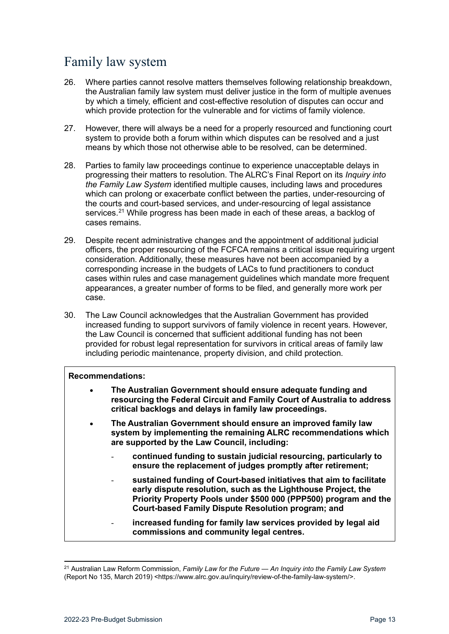# <span id="page-12-0"></span>Family law system

- 26. Where parties cannot resolve matters themselves following relationship breakdown, the Australian family law system must deliver justice in the form of multiple avenues by which a timely, efficient and cost-effective resolution of disputes can occur and which provide protection for the vulnerable and for victims of family violence.
- 27. However, there will always be a need for a properly resourced and functioning court system to provide both a forum within which disputes can be resolved and a just means by which those not otherwise able to be resolved, can be determined.
- 28. Parties to family law proceedings continue to experience unacceptable delays in progressing their matters to resolution. The ALRC's Final Report on its *Inquiry into the Family Law System* identified multiple causes, including laws and procedures which can prolong or exacerbate conflict between the parties, under-resourcing of the courts and court-based services, and under-resourcing of legal assistance services.<sup>[21](#page-12-1)</sup> While progress has been made in each of these areas, a backlog of cases remains.
- 29. Despite recent administrative changes and the appointment of additional judicial officers, the proper resourcing of the FCFCA remains a critical issue requiring urgent consideration. Additionally, these measures have not been accompanied by a corresponding increase in the budgets of LACs to fund practitioners to conduct cases within rules and case management guidelines which mandate more frequent appearances, a greater number of forms to be filed, and generally more work per case.
- 30. The Law Council acknowledges that the Australian Government has provided increased funding to support survivors of family violence in recent years. However, the Law Council is concerned that sufficient additional funding has not been provided for robust legal representation for survivors in critical areas of family law including periodic maintenance, property division, and child protection.

### **Recommendations:**

- **The Australian Government should ensure adequate funding and resourcing the Federal Circuit and Family Court of Australia to address critical backlogs and delays in family law proceedings.**
- **The Australian Government should ensure an improved family law system by implementing the remaining ALRC recommendations which are supported by the Law Council, including:** 
	- **continued funding to sustain judicial resourcing, particularly to ensure the replacement of judges promptly after retirement;**
	- **sustained funding of Court-based initiatives that aim to facilitate early dispute resolution, such as the Lighthouse Project, the Priority Property Pools under \$500 000 (PPP500) program and the Court-based Family Dispute Resolution program; and**
	- increased funding for family law services provided by legal aid **commissions and community legal centres.**

<span id="page-12-1"></span><sup>21</sup> Australian Law Reform Commission, *Family Law for the Future — An Inquiry into the Family Law System*  (Report No 135, March 2019) <https://www.alrc.gov.au/inquiry/review-of-the-family-law-system/>.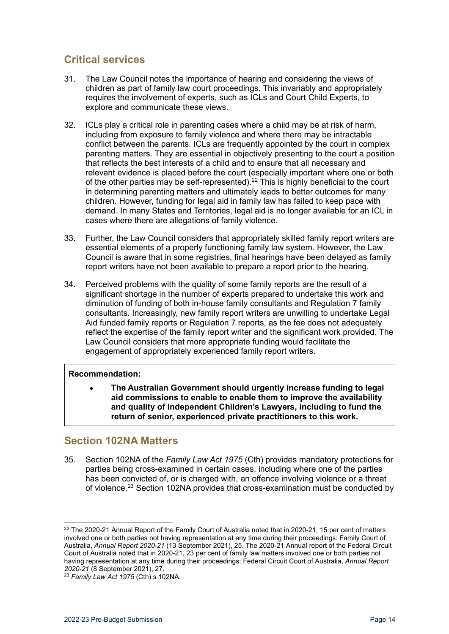### <span id="page-13-0"></span>**Critical services**

- 31. The Law Council notes the importance of hearing and considering the views of children as part of family law court proceedings. This invariably and appropriately requires the involvement of experts, such as ICLs and Court Child Experts, to explore and communicate these views.
- 32. ICLs play a critical role in parenting cases where a child may be at risk of harm, including from exposure to family violence and where there may be intractable conflict between the parents. ICLs are frequently appointed by the court in complex parenting matters. They are essential in objectively presenting to the court a position that reflects the best interests of a child and to ensure that all necessary and relevant evidence is placed before the court (especially important where one or both of the other parties may be self-represented).<sup>[22](#page-13-2)</sup> This is highly beneficial to the court in determining parenting matters and ultimately leads to better outcomes for many children. However, funding for legal aid in family law has failed to keep pace with demand. In many States and Territories, legal aid is no longer available for an ICL in cases where there are allegations of family violence.
- 33. Further, the Law Council considers that appropriately skilled family report writers are essential elements of a properly functioning family law system. However, the Law Council is aware that in some registries, final hearings have been delayed as family report writers have not been available to prepare a report prior to the hearing.
- 34. Perceived problems with the quality of some family reports are the result of a significant shortage in the number of experts prepared to undertake this work and diminution of funding of both in-house family consultants and Regulation 7 family consultants. Increasingly, new family report writers are unwilling to undertake Legal Aid funded family reports or Regulation 7 reports, as the fee does not adequately reflect the expertise of the family report writer and the significant work provided. The Law Council considers that more appropriate funding would facilitate the engagement of appropriately experienced family report writers.

### **Recommendation:**

• **The Australian Government should urgently increase funding to legal aid commissions to enable to enable them to improve the availability and quality of Independent Children's Lawyers, including to fund the return of senior, experienced private practitioners to this work.**

### <span id="page-13-1"></span>**Section 102NA Matters**

35. Section 102NA of the *Family Law Act 1975* (Cth) provides mandatory protections for parties being cross-examined in certain cases, including where one of the parties has been convicted of, or is charged with, an offence involving violence or a threat of violence.<sup>[23](#page-13-3)</sup> Section 102NA provides that cross-examination must be conducted by

<span id="page-13-2"></span><sup>&</sup>lt;sup>22</sup> The 2020-21 Annual Report of the Family Court of Australia noted that in 2020-21, 15 per cent of matters involved one or both parties not having representation at any time during their proceedings: Family Court of Australia, *Annual Report 2020-21* (13 September 2021), 25. The 2020-21 Annual report of the Federal Circuit Court of Australia noted that in 2020-21, 23 per cent of family law matters involved one or both parties not having representation at any time during their proceedings: Federal Circuit Court of Australia, *Annual Report 2020-21* (8 September 2021), 27.

<span id="page-13-3"></span><sup>23</sup> *Family Law Act 1975* (Cth) s 102NA.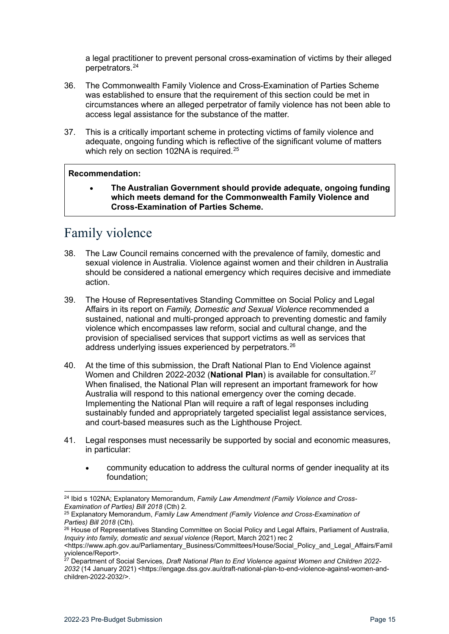a legal practitioner to prevent personal cross-examination of victims by their alleged perpetrators.[24](#page-14-1)

- 36. The Commonwealth Family Violence and Cross-Examination of Parties Scheme was established to ensure that the requirement of this section could be met in circumstances where an alleged perpetrator of family violence has not been able to access legal assistance for the substance of the matter.
- 37. This is a critically important scheme in protecting victims of family violence and adequate, ongoing funding which is reflective of the significant volume of matters which rely on section 102NA is required.<sup>25</sup>

#### **Recommendation:**

• **The Australian Government should provide adequate, ongoing funding which meets demand for the Commonwealth Family Violence and Cross-Examination of Parties Scheme.**

# <span id="page-14-0"></span>Family violence

- 38. The Law Council remains concerned with the prevalence of family, domestic and sexual violence in Australia. Violence against women and their children in Australia should be considered a national emergency which requires decisive and immediate action.
- 39. The House of Representatives Standing Committee on Social Policy and Legal Affairs in its report on *Family, Domestic and Sexual Violence* recommended a sustained, national and multi-pronged approach to preventing domestic and family violence which encompasses law reform, social and cultural change, and the provision of specialised services that support victims as well as services that address underlying issues experienced by perpetrators.<sup>[26](#page-14-3)</sup>
- 40. At the time of this submission, the Draft National Plan to End Violence against Women and Children 2022-2032 (**National Plan**) is available for consultation.[27](#page-14-4) When finalised, the National Plan will represent an important framework for how Australia will respond to this national emergency over the coming decade. Implementing the National Plan will require a raft of legal responses including sustainably funded and appropriately targeted specialist legal assistance services, and court-based measures such as the Lighthouse Project.
- 41. Legal responses must necessarily be supported by social and economic measures, in particular:
	- community education to address the cultural norms of gender inequality at its foundation;

<span id="page-14-1"></span><sup>24</sup> Ibid s 102NA; Explanatory Memorandum, *Family Law Amendment (Family Violence and Cross-Examination of Parties) Bill 2018* (Cth) 2.

<span id="page-14-2"></span><sup>25</sup> Explanatory Memorandum, *Family Law Amendment (Family Violence and Cross-Examination of Parties) Bill 2018* (Cth).

<span id="page-14-3"></span><sup>&</sup>lt;sup>26</sup> House of Representatives Standing Committee on Social Policy and Legal Affairs, Parliament of Australia, *Inquiry into family, domestic and sexual violence* (Report, March 2021) rec 2

<sup>&</sup>lt;https://www.aph.gov.au/Parliamentary\_Business/Committees/House/Social\_Policy\_and\_Legal\_Affairs/Famil yviolence/Report>.

<span id="page-14-4"></span><sup>27</sup> Department of Social Services*, Draft National Plan to End Violence against Women and Children 2022- 2032* (14 January 2021) <https://engage.dss.gov.au/draft-national-plan-to-end-violence-against-women-andchildren-2022-2032/>.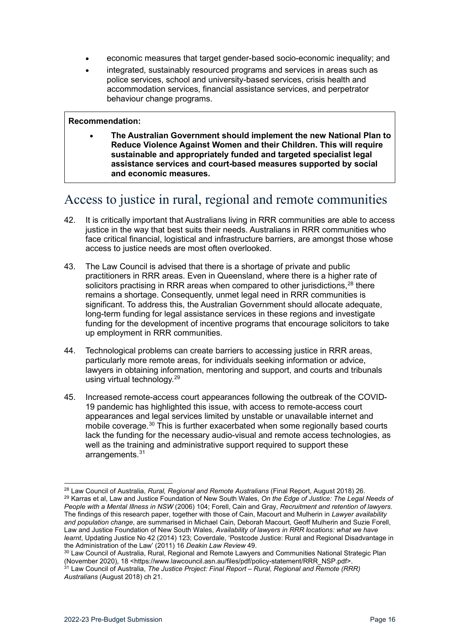- economic measures that target gender-based socio-economic inequality; and
- integrated, sustainably resourced programs and services in areas such as police services, school and university-based services, crisis health and accommodation services, financial assistance services, and perpetrator behaviour change programs.

#### **Recommendation:**

• **The Australian Government should implement the new National Plan to Reduce Violence Against Women and their Children. This will require sustainable and appropriately funded and targeted specialist legal assistance services and court-based measures supported by social and economic measures.**

# <span id="page-15-0"></span>Access to justice in rural, regional and remote communities

- 42. It is critically important that Australians living in RRR communities are able to access justice in the way that best suits their needs. Australians in RRR communities who face critical financial, logistical and infrastructure barriers, are amongst those whose access to justice needs are most often overlooked.
- 43. The Law Council is advised that there is a shortage of private and public practitioners in RRR areas. Even in Queensland, where there is a higher rate of solicitors practising in RRR areas when compared to other jurisdictions,<sup>[28](#page-15-1)</sup> there remains a shortage. Consequently, unmet legal need in RRR communities is significant. To address this, the Australian Government should allocate adequate, long-term funding for legal assistance services in these regions and investigate funding for the development of incentive programs that encourage solicitors to take up employment in RRR communities.
- 44. Technological problems can create barriers to accessing justice in RRR areas, particularly more remote areas, for individuals seeking information or advice, lawyers in obtaining information, mentoring and support, and courts and tribunals using virtual technology.[29](#page-15-2)
- 45. Increased remote-access court appearances following the outbreak of the COVID-19 pandemic has highlighted this issue, with access to remote-access court appearances and legal services limited by unstable or unavailable internet and mobile coverage.<sup>[30](#page-15-3)</sup> This is further exacerbated when some regionally based courts lack the funding for the necessary audio-visual and remote access technologies, as well as the training and administrative support required to support these arrangements.[31](#page-15-4)

<span id="page-15-2"></span><span id="page-15-1"></span><sup>28</sup> Law Council of Australia, *Rural, Regional and Remote Australians* (Final Report, August 2018) 26. <sup>29</sup> Karras et al, Law and Justice Foundation of New South Wales, *On the Edge of Justice: The Legal Needs of People with a Mental Illness in NSW* (2006) 104; Forell, Cain and Gray, *Recruitment and retention of lawyers*. The findings of this research paper, together with those of Cain, Macourt and Mulherin in *Lawyer availability and population change*, are summarised in Michael Cain, Deborah Macourt, Geoff Mulherin and Suzie Forell, Law and Justice Foundation of New South Wales, *Availability of lawyers in RRR locations: what we have learnt*, Updating Justice No 42 (2014) 123; Coverdale, 'Postcode Justice: Rural and Regional Disadvantage in the Administration of the Law' (2011) 16 Deakin Law Review 49.

<span id="page-15-4"></span><span id="page-15-3"></span><sup>&</sup>lt;sup>30</sup> Law Council of Australia, Rural, Regional and Remote Lawyers and Communities National Strategic Plan (November 2020), 18 <https://www.lawcouncil.asn.au/files/pdf/policy-statement/RRR\_NSP.pdf>. <sup>31</sup> Law Council of Australia, *The Justice Project: Final Report – Rural, Regional and Remote (RRR) Australians* (August 2018) ch 21.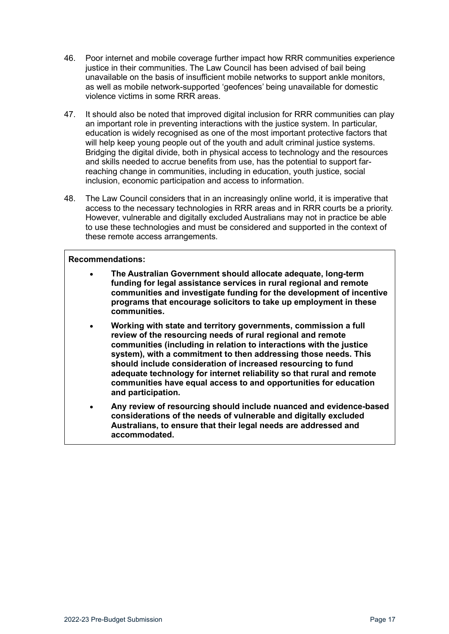- 46. Poor internet and mobile coverage further impact how RRR communities experience justice in their communities. The Law Council has been advised of bail being unavailable on the basis of insufficient mobile networks to support ankle monitors, as well as mobile network-supported 'geofences' being unavailable for domestic violence victims in some RRR areas.
- 47. It should also be noted that improved digital inclusion for RRR communities can play an important role in preventing interactions with the justice system. In particular, education is widely recognised as one of the most important protective factors that will help keep young people out of the youth and adult criminal justice systems. Bridging the digital divide, both in physical access to technology and the resources and skills needed to accrue benefits from use, has the potential to support farreaching change in communities, including in education, youth justice, social inclusion, economic participation and access to information.
- 48. The Law Council considers that in an increasingly online world, it is imperative that access to the necessary technologies in RRR areas and in RRR courts be a priority. However, vulnerable and digitally excluded Australians may not in practice be able to use these technologies and must be considered and supported in the context of these remote access arrangements.

#### **Recommendations:**

- **The Australian Government should allocate adequate, long-term funding for legal assistance services in rural regional and remote communities and investigate funding for the development of incentive programs that encourage solicitors to take up employment in these communities.**
- **Working with state and territory governments, commission a full review of the resourcing needs of rural regional and remote communities (including in relation to interactions with the justice system), with a commitment to then addressing those needs. This should include consideration of increased resourcing to fund adequate technology for internet reliability so that rural and remote communities have equal access to and opportunities for education and participation.**
- **Any review of resourcing should include nuanced and evidence-based considerations of the needs of vulnerable and digitally excluded Australians, to ensure that their legal needs are addressed and accommodated.**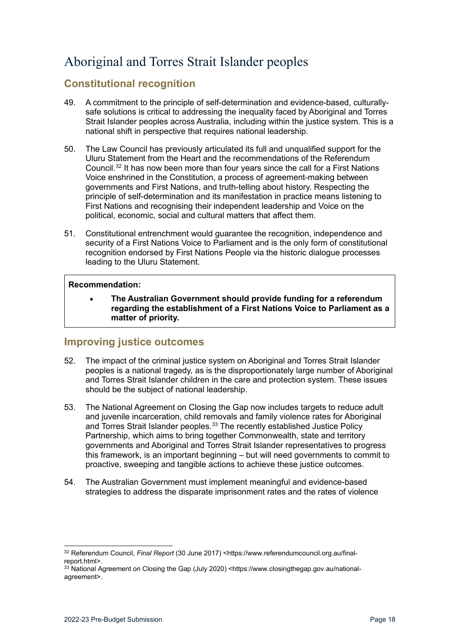# <span id="page-17-0"></span>Aboriginal and Torres Strait Islander peoples

### <span id="page-17-1"></span>**Constitutional recognition**

- 49. A commitment to the principle of self-determination and evidence-based, culturallysafe solutions is critical to addressing the inequality faced by Aboriginal and Torres Strait Islander peoples across Australia, including within the justice system. This is a national shift in perspective that requires national leadership.
- 50. The Law Council has previously articulated its full and unqualified support for the Uluru Statement from the Heart and the recommendations of the Referendum Council.<sup>[32](#page-17-3)</sup> It has now been more than four years since the call for a First Nations Voice enshrined in the Constitution, a process of agreement-making between governments and First Nations, and truth-telling about history. Respecting the principle of self-determination and its manifestation in practice means listening to First Nations and recognising their independent leadership and Voice on the political, economic, social and cultural matters that affect them.
- 51. Constitutional entrenchment would guarantee the recognition, independence and security of a First Nations Voice to Parliament and is the only form of constitutional recognition endorsed by First Nations People via the historic dialogue processes leading to the Uluru Statement.

### **Recommendation:**

• **The Australian Government should provide funding for a referendum regarding the establishment of a First Nations Voice to Parliament as a matter of priority.**

### <span id="page-17-2"></span>**Improving justice outcomes**

- 52. The impact of the criminal justice system on Aboriginal and Torres Strait Islander peoples is a national tragedy, as is the disproportionately large number of Aboriginal and Torres Strait Islander children in the care and protection system. These issues should be the subject of national leadership.
- 53. The National Agreement on Closing the Gap now includes targets to reduce adult and juvenile incarceration, child removals and family violence rates for Aboriginal and Torres Strait Islander peoples.<sup>[33](#page-17-4)</sup> The recently established Justice Policy Partnership, which aims to bring together Commonwealth, state and territory governments and Aboriginal and Torres Strait Islander representatives to progress this framework, is an important beginning – but will need governments to commit to proactive, sweeping and tangible actions to achieve these justice outcomes.
- 54. The Australian Government must implement meaningful and evidence-based strategies to address the disparate imprisonment rates and the rates of violence

<span id="page-17-3"></span><sup>32</sup> Referendum Council, *Final Report* (30 June 2017) <https://www.referendumcouncil.org.au/finalreport.html>.

<span id="page-17-4"></span><sup>33</sup> National Agreement on Closing the Gap (July 2020) <https://www.closingthegap.gov.au/nationalagreement>.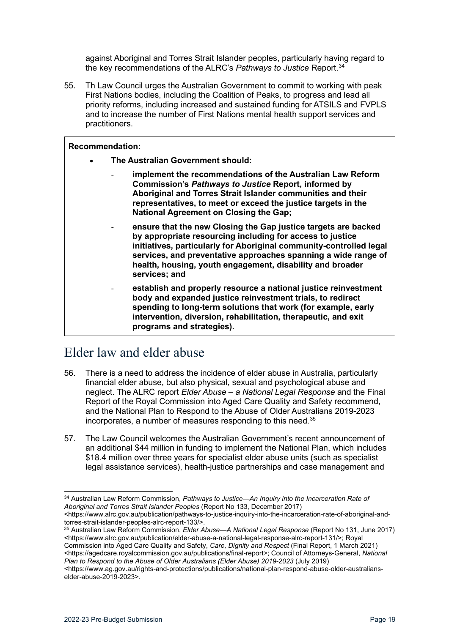against Aboriginal and Torres Strait Islander peoples, particularly having regard to the key recommendations of the ALRC's *Pathways to Justice* Report.[34](#page-18-1)

55. Th Law Council urges the Australian Government to commit to working with peak First Nations bodies, including the Coalition of Peaks, to progress and lead all priority reforms, including increased and sustained funding for ATSILS and FVPLS and to increase the number of First Nations mental health support services and practitioners.

#### **Recommendation:**

- **The Australian Government should:**
	- implement the recommendations of the Australian Law Reform **Commission's** *Pathways to Justice* **Report, informed by Aboriginal and Torres Strait Islander communities and their representatives, to meet or exceed the justice targets in the National Agreement on Closing the Gap;**
	- **ensure that the new Closing the Gap justice targets are backed by appropriate resourcing including for access to justice initiatives, particularly for Aboriginal community-controlled legal services, and preventative approaches spanning a wide range of health, housing, youth engagement, disability and broader services; and**
	- **establish and properly resource a national justice reinvestment body and expanded justice reinvestment trials, to redirect spending to long-term solutions that work (for example, early intervention, diversion, rehabilitation, therapeutic, and exit programs and strategies).**

# <span id="page-18-0"></span>Elder law and elder abuse

- 56. There is a need to address the incidence of elder abuse in Australia, particularly financial elder abuse, but also physical, sexual and psychological abuse and neglect. The ALRC report *Elder Abuse – a National Legal Response* and the Final Report of the Royal Commission into Aged Care Quality and Safety recommend, and the National Plan to Respond to the Abuse of Older Australians 2019-2023 incorporates, a number of measures responding to this need.<sup>[35](#page-18-2)</sup>
- 57. The Law Council welcomes the Australian Government's recent announcement of an additional \$44 million in funding to implement the National Plan, which includes \$18.4 million over three years for specialist elder abuse units (such as specialist legal assistance services), health-justice partnerships and case management and

Commission into Aged Care Quality and Safety, *Care, Dignity and Respect* (Final Report, 1 March 2021) <https://agedcare.royalcommission.gov.au/publications/final-report>; Council of Attorneys-General, *National Plan to Respond to the Abuse of Older Australians (Elder Abuse) 2019-2023* (July 2019)

<span id="page-18-1"></span><sup>34</sup> Australian Law Reform Commission, *Pathways to Justice—An Inquiry into the Incarceration Rate of Aboriginal and Torres Strait Islander Peoples* (Report No 133, December 2017)

<sup>&</sup>lt;https://www.alrc.gov.au/publication/pathways-to-justice-inquiry-into-the-incarceration-rate-of-aboriginal-and-<br>torres-strait-islander-peoples-alrc-report-133/>.

<span id="page-18-2"></span><sup>&</sup>lt;sup>35</sup> Australian Law Reform Commission, *Elder Abuse—A National Legal Response* (Report No 131, June 2017) <https://www.alrc.gov.au/publication/elder-abuse-a-national-legal-response-alrc-report-131/>; Royal

<sup>&</sup>lt;https://www.ag.gov.au/rights-and-protections/publications/national-plan-respond-abuse-older-australianselder-abuse-2019-2023>.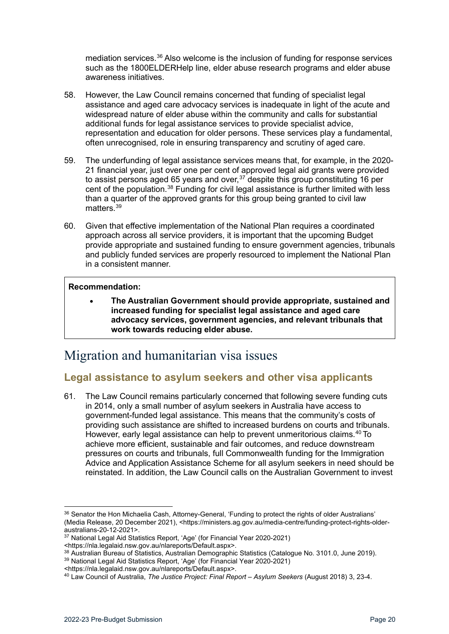mediation services.<sup>[36](#page-19-2)</sup> Also welcome is the inclusion of funding for response services such as the 1800ELDERHelp line, elder abuse research programs and elder abuse awareness initiatives.

- 58. However, the Law Council remains concerned that funding of specialist legal assistance and aged care advocacy services is inadequate in light of the acute and widespread nature of elder abuse within the community and calls for substantial additional funds for legal assistance services to provide specialist advice, representation and education for older persons. These services play a fundamental, often unrecognised, role in ensuring transparency and scrutiny of aged care.
- 59. The underfunding of legal assistance services means that, for example, in the 2020- 21 financial year, just over one per cent of approved legal aid grants were provided to assist persons aged 65 years and over.<sup>[37](#page-19-3)</sup> despite this group constituting 16 per cent of the population.[38](#page-19-4) Funding for civil legal assistance is further limited with less than a quarter of the approved grants for this group being granted to civil law matters.<sup>[39](#page-19-5)</sup>
- 60. Given that effective implementation of the National Plan requires a coordinated approach across all service providers, it is important that the upcoming Budget provide appropriate and sustained funding to ensure government agencies, tribunals and publicly funded services are properly resourced to implement the National Plan in a consistent manner.

### **Recommendation:**

• **The Australian Government should provide appropriate, sustained and increased funding for specialist legal assistance and aged care advocacy services, government agencies, and relevant tribunals that work towards reducing elder abuse.**

### <span id="page-19-0"></span>Migration and humanitarian visa issues

### <span id="page-19-1"></span>**Legal assistance to asylum seekers and other visa applicants**

61. The Law Council remains particularly concerned that following severe funding cuts in 2014, only a small number of asylum seekers in Australia have access to government-funded legal assistance. This means that the community's costs of providing such assistance are shifted to increased burdens on courts and tribunals. However, early legal assistance can help to prevent unmeritorious claims.<sup>[40](#page-19-6)</sup> To achieve more efficient, sustainable and fair outcomes, and reduce downstream pressures on courts and tribunals, full Commonwealth funding for the Immigration Advice and Application Assistance Scheme for all asylum seekers in need should be reinstated. In addition, the Law Council calls on the Australian Government to invest

<span id="page-19-2"></span><sup>&</sup>lt;sup>36</sup> Senator the Hon Michaelia Cash, Attorney-General, 'Funding to protect the rights of older Australians' (Media Release, 20 December 2021), <https://ministers.ag.gov.au/media-centre/funding-protect-rights-older-

<span id="page-19-3"></span><sup>&</sup>lt;sup>37</sup> National Legal Aid Statistics Report, 'Age' (for Financial Year 2020-2021)

<sup>&</sup>lt;https://nla.legalaid.nsw.gov.au/nlareports/Default.aspx>.

<span id="page-19-4"></span><sup>&</sup>lt;sup>38</sup> Australian Bureau of Statistics, Australian Demographic Statistics (Catalogue No. 3101.0, June 2019).<br><sup>39</sup> National Legal Aid Statistics Report, 'Age' (for Financial Year 2020-2021)

<span id="page-19-5"></span><sup>&</sup>lt;https://nla.legalaid.nsw.gov.au/nlareports/Default.aspx>.

<span id="page-19-6"></span><sup>40</sup> Law Council of Australia, *The Justice Project: Final Report – Asylum Seekers* (August 2018) 3, 23-4.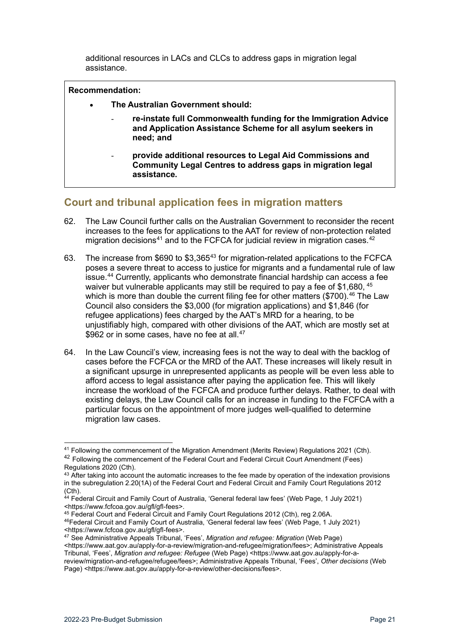additional resources in LACs and CLCs to address gaps in migration legal assistance.

#### **Recommendation:**

- **The Australian Government should:**
	- **re-instate full Commonwealth funding for the Immigration Advice and Application Assistance Scheme for all asylum seekers in need; and**
	- **provide additional resources to Legal Aid Commissions and Community Legal Centres to address gaps in migration legal assistance.**

### <span id="page-20-0"></span>**Court and tribunal application fees in migration matters**

- 62. The Law Council further calls on the Australian Government to reconsider the recent increases to the fees for applications to the AAT for review of non-protection related migration decisions<sup>[41](#page-20-1)</sup> and to the FCFCA for judicial review in migration cases.<sup>[42](#page-20-2)</sup>
- 63. The increase from \$690 to \$3,365[43](#page-20-3) for migration-related applications to the FCFCA poses a severe threat to access to justice for migrants and a fundamental rule of law issue.[44](#page-20-4) Currently, applicants who demonstrate financial hardship can access a fee waiver but vulnerable applicants may still be required to pay a fee of \$1,680, [45](#page-20-5) which is more than double the current filing fee for other matters (\$700). [46](#page-20-6) The Law Council also considers the \$3,000 (for migration applications) and \$1,846 (for refugee applications) fees charged by the AAT's MRD for a hearing, to be unjustifiably high, compared with other divisions of the AAT, which are mostly set at \$962 or in some cases, have no fee at all.<sup>[47](#page-20-7)</sup>
- 64. In the Law Council's view, increasing fees is not the way to deal with the backlog of cases before the FCFCA or the MRD of the AAT. These increases will likely result in a significant upsurge in unrepresented applicants as people will be even less able to afford access to legal assistance after paying the application fee. This will likely increase the workload of the FCFCA and produce further delays. Rather, to deal with existing delays, the Law Council calls for an increase in funding to the FCFCA with a particular focus on the appointment of more judges well-qualified to determine migration law cases.

<span id="page-20-2"></span><span id="page-20-1"></span><sup>41</sup> Following the commencement of the Migration Amendment (Merits Review) Regulations 2021 (Cth). <sup>42</sup> Following the commencement of the Federal Court and Federal Circuit Court Amendment (Fees) Regulations 2020 (Cth).

<span id="page-20-3"></span> $43$  After taking into account the automatic increases to the fee made by operation of the indexation provisions in the subregulation 2.20(1A) of the Federal Court and Federal Circuit and Family Court Regulations 2012 (Cth).

<span id="page-20-4"></span><sup>44</sup> Federal Circuit and Family Court of Australia, 'General federal law fees' (Web Page, 1 July 2021) <https://www.fcfcoa.gov.au/gfl/gfl-fees>.

<span id="page-20-6"></span><span id="page-20-5"></span><sup>45</sup> Federal Court and Federal Circuit and Family Court Regulations 2012 (Cth), reg 2.06A. 46Federal Circuit and Family Court of Australia, 'General federal law fees' (Web Page, 1 July 2021) <https://www.fcfcoa.gov.au/gfl/gfl-fees>.

<span id="page-20-7"></span><sup>47</sup> See Administrative Appeals Tribunal, 'Fees', *Migration and refugee: Migration* (Web Page)

<sup>&</sup>lt;https://www.aat.gov.au/apply-for-a-review/migration-and-refugee/migration/fees>; Administrative Appeals Tribunal, 'Fees', *Migration and refugee: Refugee* (Web Page) <https://www.aat.gov.au/apply-for-areview/migration-and-refugee/refugee/fees>; Administrative Appeals Tribunal, 'Fees', *Other decisions* (Web

Page) <https://www.aat.gov.au/apply-for-a-review/other-decisions/fees>.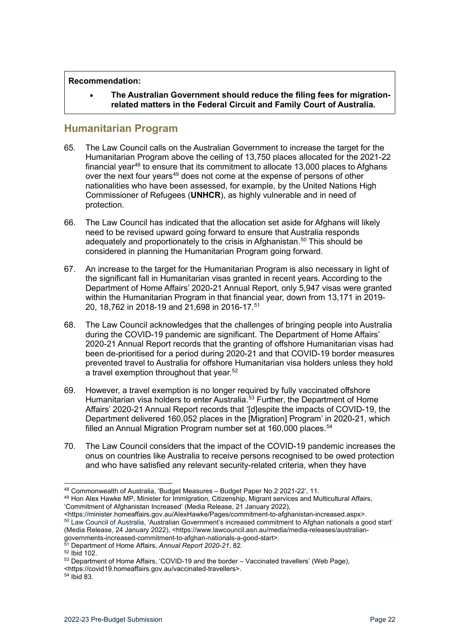#### **Recommendation:**

• **The Australian Government should reduce the filing fees for migrationrelated matters in the Federal Circuit and Family Court of Australia.**

### <span id="page-21-0"></span>**Humanitarian Program**

- 65. The Law Council calls on the Australian Government to increase the target for the Humanitarian Program above the ceiling of 13,750 places allocated for the 2021-22 financial year<sup>[48](#page-21-1)</sup> to ensure that its commitment to allocate 13,000 places to Afghans over the next four years<sup>49</sup> does not come at the expense of persons of other nationalities who have been assessed, for example, by the United Nations High Commissioner of Refugees (**UNHCR**), as highly vulnerable and in need of protection.
- 66. The Law Council has indicated that the allocation set aside for Afghans will likely need to be revised upward going forward to ensure that Australia responds adequately and proportionately to the crisis in Afghanistan.<sup>[50](#page-21-3)</sup> This should be considered in planning the Humanitarian Program going forward.
- 67. An increase to the target for the Humanitarian Program is also necessary in light of the significant fall in Humanitarian visas granted in recent years. According to the Department of Home Affairs' 2020-21 Annual Report, only 5,947 visas were granted within the Humanitarian Program in that financial year, down from 13,171 in 2019- 20, 18,762 in 2018-19 and 21,698 in 2016-17. [51](#page-21-4)
- 68. The Law Council acknowledges that the challenges of bringing people into Australia during the COVID-19 pandemic are significant. The Department of Home Affairs' 2020-21 Annual Report records that the granting of offshore Humanitarian visas had been de-prioritised for a period during 2020-21 and that COVID-19 border measures prevented travel to Australia for offshore Humanitarian visa holders unless they hold a travel exemption throughout that year. [52](#page-21-5)
- 69. However, a travel exemption is no longer required by fully vaccinated offshore Humanitarian visa holders to enter Australia.<sup>[53](#page-21-6)</sup> Further, the Department of Home Affairs' 2020-21 Annual Report records that '[d]espite the impacts of COVID-19, the Department delivered 160,052 places in the [Migration] Program' in 2020-21, which filled an Annual Migration Program number set at  $160,000$  places.<sup>[54](#page-21-7)</sup>
- 70. The Law Council considers that the impact of the COVID-19 pandemic increases the onus on countries like Australia to receive persons recognised to be owed protection and who have satisfied any relevant security-related criteria, when they have

<span id="page-21-1"></span><sup>48</sup> Commonwealth of Australia, 'Budget Measures – Budget Paper No.2 2021-22', 11.

<span id="page-21-2"></span><sup>49</sup> Hon Alex Hawke MP, Minister for Immigration, Citizenship, Migrant services and Multicultural Affairs, 'Commitment of Afghanistan Increased' (Media Release, 21 January 2022),

<span id="page-21-3"></span><sup>&</sup>lt;https://minister.homeaffairs.gov.au/AlexHawke/Pages/commitment-to-afghanistan-increased.aspx>.  $50$  Law Council of Australia, 'Australian Government's increased commitment to Afghan nationals a good start' (Media Release, 24 January 2022), <https://www.lawcouncil.asn.au/media/media-releases/australiangovernments-increased-commitment-to-afghan-nationals-a-good-start>.<br>
<sup>51</sup> Department of Home Affairs, *Annual Report 2020-21*, 82.<br>
<sup>52</sup> Ibid 102.<br>
<sup>52</sup> Department of Home Affairs, 'COVID-19 and the border – Vaccinated tra

<span id="page-21-4"></span>

<span id="page-21-6"></span><span id="page-21-5"></span>

<sup>&</sup>lt;https://covid19.homeaffairs.gov.au/vaccinated-travellers>.

<span id="page-21-7"></span><sup>54</sup> Ibid 83.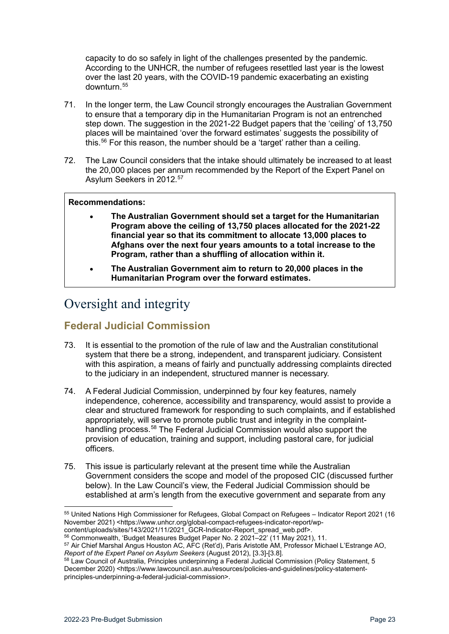capacity to do so safely in light of the challenges presented by the pandemic. According to the UNHCR, the number of refugees resettled last year is the lowest over the last 20 years, with the COVID-19 pandemic exacerbating an existing downturn.[55](#page-22-2)

- 71. In the longer term, the Law Council strongly encourages the Australian Government to ensure that a temporary dip in the Humanitarian Program is not an entrenched step down. The suggestion in the 2021-22 Budget papers that the 'ceiling' of 13,750 places will be maintained 'over the forward estimates' suggests the possibility of this.<sup>[56](#page-22-3)</sup> For this reason, the number should be a 'target' rather than a ceiling.
- 72. The Law Council considers that the intake should ultimately be increased to at least the 20,000 places per annum recommended by the Report of the Expert Panel on Asylum Seekers in 2012. [57](#page-22-4)

### **Recommendations:**

- **The Australian Government should set a target for the Humanitarian Program above the ceiling of 13,750 places allocated for the 2021-22 financial year so that its commitment to allocate 13,000 places to Afghans over the next four years amounts to a total increase to the Program, rather than a shuffling of allocation within it.**
- **The Australian Government aim to return to 20,000 places in the Humanitarian Program over the forward estimates.**

# <span id="page-22-0"></span>Oversight and integrity

### <span id="page-22-1"></span>**Federal Judicial Commission**

- 73. It is essential to the promotion of the rule of law and the Australian constitutional system that there be a strong, independent, and transparent judiciary. Consistent with this aspiration, a means of fairly and punctually addressing complaints directed to the judiciary in an independent, structured manner is necessary.
- 74. A Federal Judicial Commission, underpinned by four key features, namely independence, coherence, accessibility and transparency, would assist to provide a clear and structured framework for responding to such complaints, and if established appropriately, will serve to promote public trust and integrity in the complaint-handling process.<sup>[58](#page-22-5)</sup> The Federal Judicial Commission would also support the provision of education, training and support, including pastoral care, for judicial officers.
- 75. This issue is particularly relevant at the present time while the Australian Government considers the scope and model of the proposed CIC (discussed further below). In the Law Council's view, the Federal Judicial Commission should be established at arm's length from the executive government and separate from any

<span id="page-22-2"></span><sup>55</sup> United Nations High Commissioner for Refugees, Global Compact on Refugees – Indicator Report 2021 (16 November 2021) <https://www.unhcr.org/global-compact-refugees-indicator-report/wpcontent/uploads/sites/143/2021/11/2021\_GCR-Indicator-Report\_spread\_web.pdf>.

<sup>56</sup> Commonwealth, 'Budget Measures Budget Paper No. 2 2021–22' (11 May 2021), 11.

<span id="page-22-4"></span><span id="page-22-3"></span><sup>57</sup> Air Chief Marshal Angus Houston AC, AFC (Ret'd), Paris Aristotle AM, Professor Michael L'Estrange AO, Report of the Expert Panel on Asylum Seekers (August 2012), [3.3]-[3.8].

<span id="page-22-5"></span><sup>&</sup>lt;sup>58</sup> Law Council of Australia, Principles underpinning a Federal Judicial Commission (Policy Statement, 5 December 2020) <https://www.lawcouncil.asn.au/resources/policies-and-quidelines/policy-statementprinciples-underpinning-a-federal-judicial-commission>.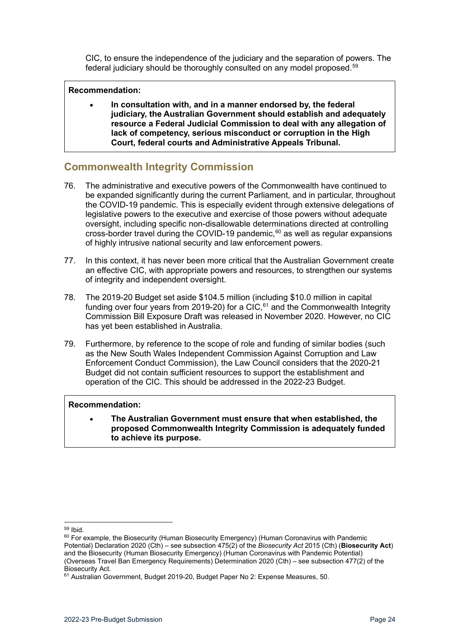CIC, to ensure the independence of the judiciary and the separation of powers. The federal judiciary should be thoroughly consulted on any model proposed.<sup>[59](#page-23-1)</sup>

### **Recommendation:**

• **In consultation with, and in a manner endorsed by, the federal judiciary, the Australian Government should establish and adequately resource a Federal Judicial Commission to deal with any allegation of lack of competency, serious misconduct or corruption in the High Court, federal courts and Administrative Appeals Tribunal.** 

### <span id="page-23-0"></span>**Commonwealth Integrity Commission**

- 76. The administrative and executive powers of the Commonwealth have continued to be expanded significantly during the current Parliament, and in particular, throughout the COVID-19 pandemic. This is especially evident through extensive delegations of legislative powers to the executive and exercise of those powers without adequate oversight, including specific non-disallowable determinations directed at controlling cross-border travel during the COVID-19 pandemic, $60$  as well as regular expansions of highly intrusive national security and law enforcement powers.
- 77. In this context, it has never been more critical that the Australian Government create an effective CIC, with appropriate powers and resources, to strengthen our systems of integrity and independent oversight.
- 78. The 2019-20 Budget set aside \$104.5 million (including \$10.0 million in capital funding over four years from 2019-20) for a CIC, $61$  and the Commonwealth Integrity Commission Bill Exposure Draft was released in November 2020. However, no CIC has yet been established in Australia.
- 79. Furthermore, by reference to the scope of role and funding of similar bodies (such as the New South Wales Independent Commission Against Corruption and Law Enforcement Conduct Commission), the Law Council considers that the 2020-21 Budget did not contain sufficient resources to support the establishment and operation of the CIC. This should be addressed in the 2022-23 Budget.

### **Recommendation:**

• **The Australian Government must ensure that when established, the proposed Commonwealth Integrity Commission is adequately funded to achieve its purpose.**

<span id="page-23-1"></span><sup>59</sup> Ibid.

<span id="page-23-2"></span><sup>&</sup>lt;sup>60</sup> For example, the Biosecurity (Human Biosecurity Emergency) (Human Coronavirus with Pandemic Potential) Declaration 2020 (Cth) – see subsection 475(2) of the *Biosecurity Act* 2015 (Cth) (**Biosecurity Act**) and the Biosecurity (Human Biosecurity Emergency) (Human Coronavirus with Pandemic Potential) (Overseas Travel Ban Emergency Requirements) Determination 2020 (Cth) – see subsection 477(2) of the Biosecurity Act.

<span id="page-23-3"></span><sup>61</sup> Australian Government, Budget 2019-20, Budget Paper No 2: Expense Measures, 50.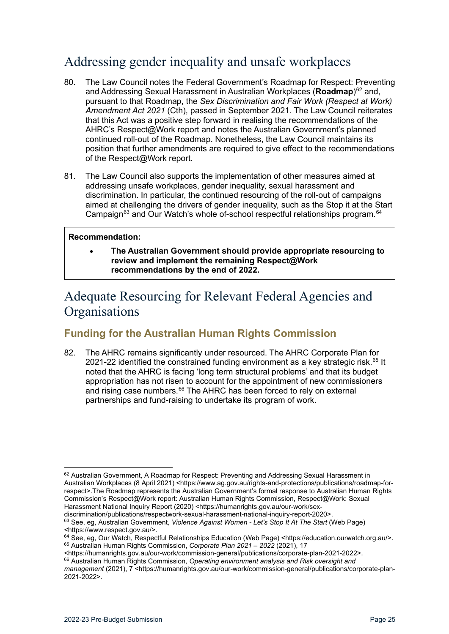# <span id="page-24-0"></span>Addressing gender inequality and unsafe workplaces

- 80. The Law Council notes the Federal Government's Roadmap for Respect: Preventing and Addressing Sexual Harassment in Australian Workplaces (**Roadmap**)<sup>[62](#page-24-3)</sup> and, pursuant to that Roadmap, the *Sex Discrimination and Fair Work (Respect at Work) Amendment Act 2021* (Cth), passed in September 2021. The Law Council reiterates that this Act was a positive step forward in realising the recommendations of the AHRC's Respect@Work report and notes the Australian Government's planned continued roll-out of the Roadmap. Nonetheless, the Law Council maintains its position that further amendments are required to give effect to the recommendations of the Respect@Work report.
- 81. The Law Council also supports the implementation of other measures aimed at addressing unsafe workplaces, gender inequality, sexual harassment and discrimination. In particular, the continued resourcing of the roll-out of campaigns aimed at challenging the drivers of gender inequality, such as the Stop it at the Start Campaign<sup>[63](#page-24-4)</sup> and Our Watch's whole of-school respectful relationships program.<sup>[64](#page-24-5)</sup>

### **Recommendation:**

• **The Australian Government should provide appropriate resourcing to review and implement the remaining Respect@Work recommendations by the end of 2022.**

# <span id="page-24-1"></span>Adequate Resourcing for Relevant Federal Agencies and **Organisations**

### <span id="page-24-2"></span>**Funding for the Australian Human Rights Commission**

82. The AHRC remains significantly under resourced. The AHRC Corporate Plan for 2021-22 identified the constrained funding environment as a key strategic risk. $65$  It noted that the AHRC is facing 'long term structural problems' and that its budget appropriation has not risen to account for the appointment of new commissioners and rising case numbers.<sup>[66](#page-24-7)</sup> The AHRC has been forced to rely on external partnerships and fund-raising to undertake its program of work.

<span id="page-24-3"></span><sup>62</sup> Australian Government, A Roadmap for Respect: Preventing and Addressing Sexual Harassment in Australian Workplaces (8 April 2021) <https://www.ag.gov.au/rights-and-protections/publications/roadmap-forrespect>.The Roadmap represents the Australian Government's formal response to Australian Human Rights Commission'[s Respect@Work report:](https://humanrights.gov.au/our-work/sex-discrimination/publications/respectwork-sexual-harassment-national-inquiry-report-2020) Australian Human Rights Commission, Respect@Work: Sexual Harassment National Inquiry Report (2020) <https://humanrights.gov.au/our-work/sex-

<span id="page-24-4"></span>discrimination/publications/respectwork-sexual-harassment-national-inquiry-report-2020>. <sup>63</sup> See, eg, Australian Government, *Violence Against Women - Let's Stop It At The Start* (Web Page) <https://www.respect.gov.au/>.

<span id="page-24-6"></span><span id="page-24-5"></span><sup>&</sup>lt;sup>64</sup> See, eg, Our Watch, Respectful Relationships Education (Web Page) <https://education.ourwatch.org.au/>. <sup>65</sup> Australian Human Rights Commission, *Corporate Plan 2021 – 2022* (2021), 17

<sup>&</sup>lt;https://humanrights.gov.au/our-work/commission-general/publications/corporate-plan-2021-2022>.

<span id="page-24-7"></span><sup>66</sup> Australian Human Rights Commission, *Operating environment analysis and Risk oversight and management* (2021), 7 <https://humanrights.gov.au/our-work/commission-general/publications/corporate-plan-2021-2022>.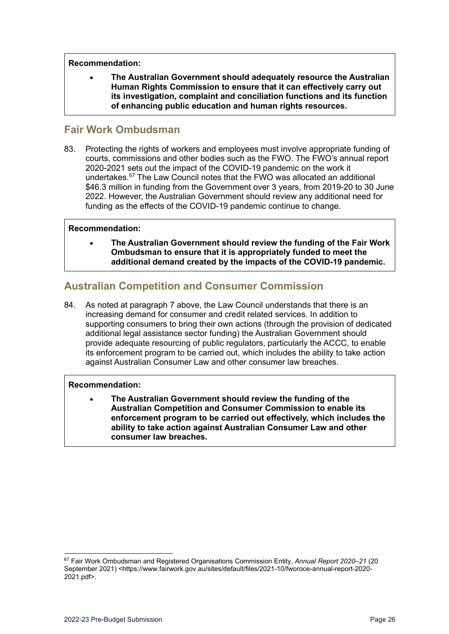#### **Recommendation:**

• **The Australian Government should adequately resource the Australian Human Rights Commission to ensure that it can effectively carry out its investigation, complaint and conciliation functions and its function of enhancing public education and human rights resources.**

### <span id="page-25-0"></span>**Fair Work Ombudsman**

83. Protecting the rights of workers and employees must involve appropriate funding of courts, commissions and other bodies such as the FWO. The FWO's annual report 2020-2021 sets out the impact of the COVID-19 pandemic on the work it undertakes.<sup>[67](#page-25-2)</sup> The Law Council notes that the FWO was allocated an additional \$46.3 million in funding from the Government over 3 years, from 2019-20 to 30 June 2022. However, the Australian Government should review any additional need for funding as the effects of the COVID-19 pandemic continue to change.

### **Recommendation:**

• **The Australian Government should review the funding of the Fair Work Ombudsman to ensure that it is appropriately funded to meet the additional demand created by the impacts of the COVID-19 pandemic.** 

### <span id="page-25-1"></span>**Australian Competition and Consumer Commission**

84. As noted at paragraph [7](#page-7-4) above, the Law Council understands that there is an increasing demand for consumer and credit related services. In addition to supporting consumers to bring their own actions (through the provision of dedicated additional legal assistance sector funding) the Australian Government should provide adequate resourcing of public regulators, particularly the ACCC, to enable its enforcement program to be carried out, which includes the ability to take action against Australian Consumer Law and other consumer law breaches.

### **Recommendation:**

• **The Australian Government should review the funding of the Australian Competition and Consumer Commission to enable its enforcement program to be carried out effectively, which includes the ability to take action against Australian Consumer Law and other consumer law breaches.**

<span id="page-25-2"></span><sup>67</sup> Fair Work Ombudsman and Registered Organisations Commission Entity, *Annual Report 2020–21* (20 September 2021) <https://www.fairwork.gov.au/sites/default/files/2021-10/fworoce-annual-report-2020- 2021.pdf>.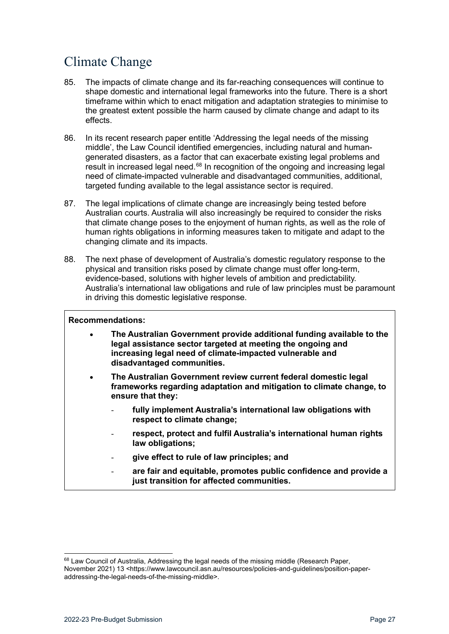# <span id="page-26-0"></span>Climate Change

- 85. The impacts of climate change and its far-reaching consequences will continue to shape domestic and international legal frameworks into the future. There is a short timeframe within which to enact mitigation and adaptation strategies to minimise to the greatest extent possible the harm caused by climate change and adapt to its effects.
- 86. In its recent research paper entitle 'Addressing the legal needs of the missing middle', the Law Council identified emergencies, including natural and humangenerated disasters, as a factor that can exacerbate existing legal problems and result in increased legal need.<sup>[68](#page-26-1)</sup> In recognition of the ongoing and increasing legal need of climate-impacted vulnerable and disadvantaged communities, additional, targeted funding available to the legal assistance sector is required.
- 87. The legal implications of climate change are increasingly being tested before Australian courts. Australia will also increasingly be required to consider the risks that climate change poses to the enjoyment of human rights, as well as the role of human rights obligations in informing measures taken to mitigate and adapt to the changing climate and its impacts.
- 88. The next phase of development of Australia's domestic regulatory response to the physical and transition risks posed by climate change must offer long-term, evidence-based, solutions with higher levels of ambition and predictability. Australia's international law obligations and rule of law principles must be paramount in driving this domestic legislative response.

### **Recommendations:**

- **The Australian Government provide additional funding available to the legal assistance sector targeted at meeting the ongoing and increasing legal need of climate-impacted vulnerable and disadvantaged communities.**
- **The Australian Government review current federal domestic legal frameworks regarding adaptation and mitigation to climate change, to ensure that they:**
	- **fully implement Australia's international law obligations with respect to climate change;**
	- **respect, protect and fulfil Australia's international human rights law obligations;**
	- **give effect to rule of law principles; and**
	- **are fair and equitable, promotes public confidence and provide a just transition for affected communities.**

<span id="page-26-1"></span><sup>68</sup> Law Council of Australia, Addressing the legal needs of the missing middle (Research Paper, November 2021) 13 <https://www.lawcouncil.asn.au/resources/policies-and-guidelines/position-paperaddressing-the-legal-needs-of-the-missing-middle>.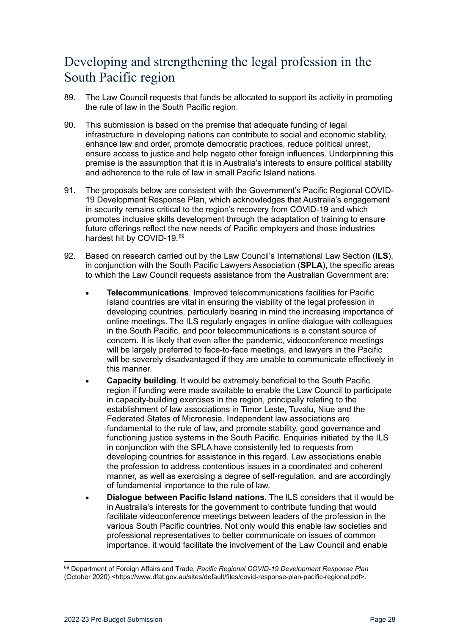# <span id="page-27-0"></span>Developing and strengthening the legal profession in the South Pacific region

- 89. The Law Council requests that funds be allocated to support its activity in promoting the rule of law in the South Pacific region.
- 90. This submission is based on the premise that adequate funding of legal infrastructure in developing nations can contribute to social and economic stability, enhance law and order, promote democratic practices, reduce political unrest, ensure access to justice and help negate other foreign influences. Underpinning this premise is the assumption that it is in Australia's interests to ensure political stability and adherence to the rule of law in small Pacific Island nations.
- 91. The proposals below are consistent with the Government's Pacific Regional COVID-19 Development Response Plan, which acknowledges that Australia's engagement in security remains critical to the region's recovery from COVID-19 and which promotes inclusive skills development through the adaptation of training to ensure future offerings reflect the new needs of Pacific employers and those industries hardest hit by COVID-19.<sup>[69](#page-27-1)</sup>
- 92. Based on research carried out by the Law Council's International Law Section (**ILS**), in conjunction with the South Pacific Lawyers Association (**SPLA**), the specific areas to which the Law Council requests assistance from the Australian Government are:
	- **Telecommunications**. Improved telecommunications facilities for Pacific Island countries are vital in ensuring the viability of the legal profession in developing countries, particularly bearing in mind the increasing importance of online meetings. The ILS regularly engages in online dialogue with colleagues in the South Pacific, and poor telecommunications is a constant source of concern. It is likely that even after the pandemic, videoconference meetings will be largely preferred to face-to-face meetings, and lawyers in the Pacific will be severely disadvantaged if they are unable to communicate effectively in this manner.
	- **Capacity building**. It would be extremely beneficial to the South Pacific region if funding were made available to enable the Law Council to participate in capacity-building exercises in the region, principally relating to the establishment of law associations in Timor Leste, Tuvalu, Niue and the Federated States of Micronesia. Independent law associations are fundamental to the rule of law, and promote stability, good governance and functioning justice systems in the South Pacific. Enquiries initiated by the ILS in conjunction with the SPLA have consistently led to requests from developing countries for assistance in this regard. Law associations enable the profession to address contentious issues in a coordinated and coherent manner, as well as exercising a degree of self-regulation, and are accordingly of fundamental importance to the rule of law.
	- **Dialogue between Pacific Island nations**. The ILS considers that it would be in Australia's interests for the government to contribute funding that would facilitate videoconference meetings between leaders of the profession in the various South Pacific countries. Not only would this enable law societies and professional representatives to better communicate on issues of common importance, it would facilitate the involvement of the Law Council and enable

<span id="page-27-1"></span><sup>69</sup> Department of Foreign Affairs and Trade, *Pacific Regional COVID-19 Development Response Plan* (October 2020) <https://www.dfat.gov.au/sites/default/files/covid-response-plan-pacific-regional.pdf>.